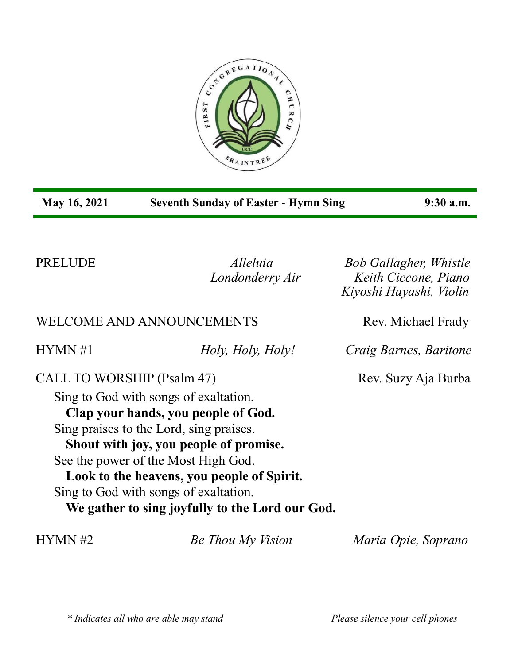

| May 16, 2021               | <b>Seventh Sunday of Easter - Hymn Sing</b>                                                                                                                                                                                                                                                                                                        | 9:30 a.m.                                                                        |
|----------------------------|----------------------------------------------------------------------------------------------------------------------------------------------------------------------------------------------------------------------------------------------------------------------------------------------------------------------------------------------------|----------------------------------------------------------------------------------|
| PRELUDE                    | <i>Alleluia</i><br>Londonderry Air                                                                                                                                                                                                                                                                                                                 | <b>Bob Gallagher, Whistle</b><br>Keith Ciccone, Piano<br>Kiyoshi Hayashi, Violin |
|                            | <b>WELCOME AND ANNOUNCEMENTS</b>                                                                                                                                                                                                                                                                                                                   | Rev. Michael Frady                                                               |
| HYMN #1                    | Holy, Holy, Holy!                                                                                                                                                                                                                                                                                                                                  | Craig Barnes, Baritone                                                           |
| CALL TO WORSHIP (Psalm 47) | Sing to God with songs of exaltation.<br>Clap your hands, you people of God.<br>Sing praises to the Lord, sing praises.<br>Shout with joy, you people of promise.<br>See the power of the Most High God.<br>Look to the heavens, you people of Spirit.<br>Sing to God with songs of exaltation.<br>We gather to sing joyfully to the Lord our God. | Rev. Suzy Aja Burba                                                              |
| HYMN #2                    | Be Thou My Vision                                                                                                                                                                                                                                                                                                                                  | Maria Opie, Soprano                                                              |

*\* Indicates all who are able may stand Please silence your cell phones*

п

н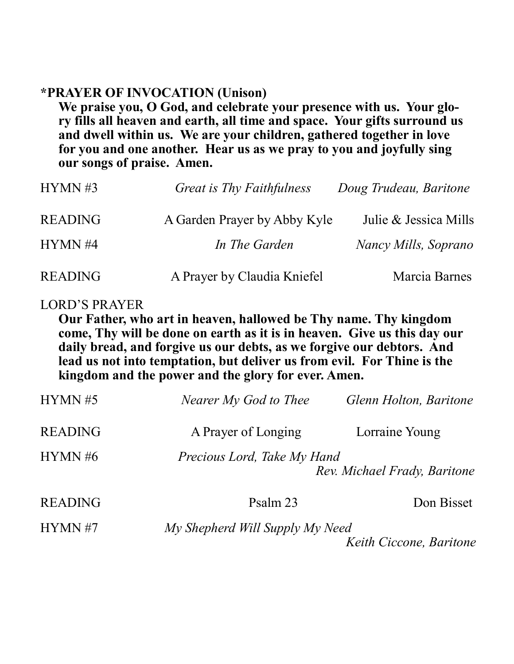# **\*PRAYER OF INVOCATION (Unison)**

**We praise you, O God, and celebrate your presence with us. Your glory fills all heaven and earth, all time and space. Your gifts surround us and dwell within us. We are your children, gathered together in love for you and one another. Hear us as we pray to you and joyfully sing our songs of praise. Amen.**

| HYMN #3        | Great is Thy Faithfulness    | Doug Trudeau, Baritone |
|----------------|------------------------------|------------------------|
| <b>READING</b> | A Garden Prayer by Abby Kyle | Julie & Jessica Mills  |
| HYMN #4        | In The Garden                | Nancy Mills, Soprano   |
| <b>READING</b> | A Prayer by Claudia Kniefel  | Marcia Barnes          |

### LORD'S PRAYER

**Our Father, who art in heaven, hallowed be Thy name. Thy kingdom come, Thy will be done on earth as it is in heaven. Give us this day our daily bread, and forgive us our debts, as we forgive our debtors. And lead us not into temptation, but deliver us from evil. For Thine is the kingdom and the power and the glory for ever. Amen.**

| Glenn Holton, Baritone                                      | Nearer My God to Thee           | HYMN #5        |
|-------------------------------------------------------------|---------------------------------|----------------|
| Lorraine Young                                              | A Prayer of Longing             | <b>READING</b> |
| Precious Lord, Take My Hand<br>Rev. Michael Frady, Baritone |                                 | HYMN#6         |
| Don Bisset                                                  | Psalm 23                        | <b>READING</b> |
| Keith Ciccone, Baritone                                     | My Shepherd Will Supply My Need | HYMN #7        |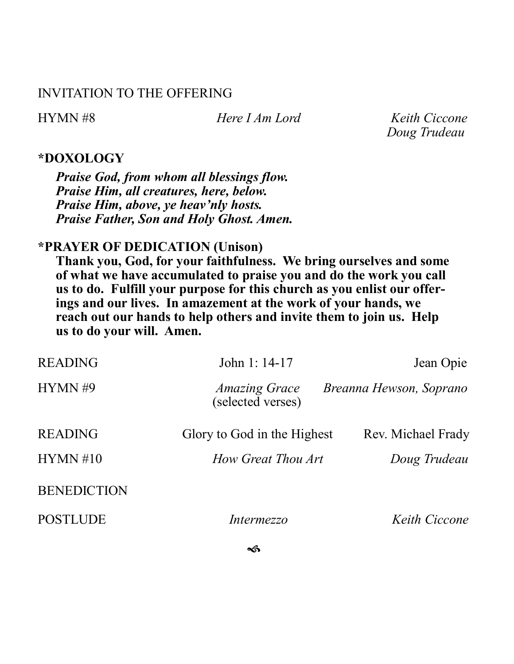## INVITATION TO THE OFFERING

HYMN #8 *Here I Am Lord Keith Ciccone Doug Trudeau*

### **\*DOXOLOGY**

*Praise God, from whom all blessings flow. Praise Him, all creatures, here, below. Praise Him, above, ye heav'nly hosts. Praise Father, Son and Holy Ghost. Amen.*

# **\*PRAYER OF DEDICATION (Unison)**

**Thank you, God, for your faithfulness. We bring ourselves and some of what we have accumulated to praise you and do the work you call us to do. Fulfill your purpose for this church as you enlist our offerings and our lives. In amazement at the work of your hands, we reach out our hands to help others and invite them to join us. Help us to do your will. Amen.**

| <b>READING</b>     | John 1: 14-17                             | Jean Opie               |
|--------------------|-------------------------------------------|-------------------------|
| HYMN#9             | <i>Amazing Grace</i><br>(selected verses) | Breanna Hewson, Soprano |
| <b>READING</b>     | Glory to God in the Highest               | Rev. Michael Frady      |
| HYMN #10           | How Great Thou Art                        | Doug Trudeau            |
| <b>BENEDICTION</b> |                                           |                         |
| <b>POSTLUDE</b>    | <i>Intermezzo</i>                         | <i>Keith Ciccone</i>    |

๔